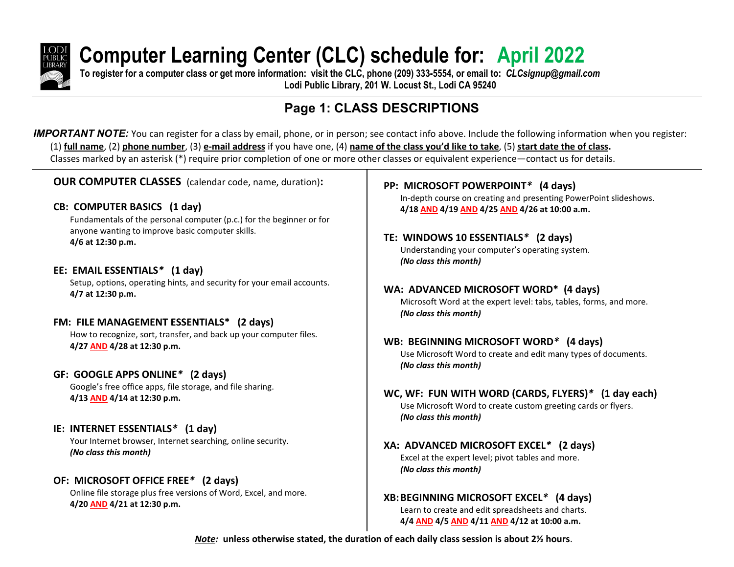

# **Computer Learning Center (CLC) schedule for: April 2022**

**To register for a computer class or get more information: visit the CLC, phone (209) 333-5554, or email to:** *CLCsignup@gmail.com* **Lodi Public Library, 201 W. Locust St., Lodi CA 95240**

## **Page 1: CLASS DESCRIPTIONS**

*IMPORTANT NOTE:* You can register for a class by email, phone, or in person; see contact info above. Include the following information when you register: (1) **full name**, (2) **phone number**, (3) **e-mail address** if you have one, (4) **name of the class you'd like to take**, (5) **start date the of class.** Classes marked by an asterisk (\*) require prior completion of one or more other classes or equivalent experience—contact us for details.

**OUR COMPUTER CLASSES** (calendar code, name, duration)**:**

#### **CB: COMPUTER BASICS (1 day)**

Fundamentals of the personal computer (p.c.) for the beginner or for anyone wanting to improve basic computer skills. **4/6 at 12:30 p.m.**

#### **EE: EMAIL ESSENTIALS***\** **(1 day)**

Setup, options, operating hints, and security for your email accounts. **4/7 at 12:30 p.m.**

#### **FM: FILE MANAGEMENT ESSENTIALS\* (2 days)**

How to recognize, sort, transfer, and back up your computer files. **4/27 AND 4/28 at 12:30 p.m.**

#### **GF: GOOGLE APPS ONLINE***\** **(2 days)**

Google's free office apps, file storage, and file sharing. **4/13 AND 4/14 at 12:30 p.m.**

#### **IE: INTERNET ESSENTIALS***\** **(1 day)**

Your Internet browser, Internet searching, online security. *(No class this month)*

#### **OF: MICROSOFT OFFICE FREE***\** **(2 days)**

Online file storage plus free versions of Word, Excel, and more. **4/20 AND 4/21 at 12:30 p.m.**

#### **PP: MICROSOFT POWERPOINT***\** **(4 days)**

In-depth course on creating and presenting PowerPoint slideshows. **4/18 AND 4/19 AND 4/25 AND 4/26 at 10:00 a.m.**

### **TE: WINDOWS 10 ESSENTIALS***\** **(2 days)**

Understanding your computer's operating system. *(No class this month)*

**WA: ADVANCED MICROSOFT WORD\* (4 days)**

Microsoft Word at the expert level: tabs, tables, forms, and more. *(No class this month)*

#### **WB: BEGINNING MICROSOFT WORD***\** **(4 days)**

Use Microsoft Word to create and edit many types of documents. *(No class this month)*

#### **WC, WF: FUN WITH WORD (CARDS, FLYERS)***\** **(1 day each)** Use Microsoft Word to create custom greeting cards or flyers.

*(No class this month)*

**XA: ADVANCED MICROSOFT EXCEL***\** **(2 days)** Excel at the expert level; pivot tables and more. *(No class this month)*

**XB:BEGINNING MICROSOFT EXCEL***\** **(4 days)** Learn to create and edit spreadsheets and charts. **4/4 AND 4/5 AND 4/11 AND 4/12 at 10:00 a.m.**

*Note:* **unless otherwise stated, the duration of each daily class session is about 2½ hours**.